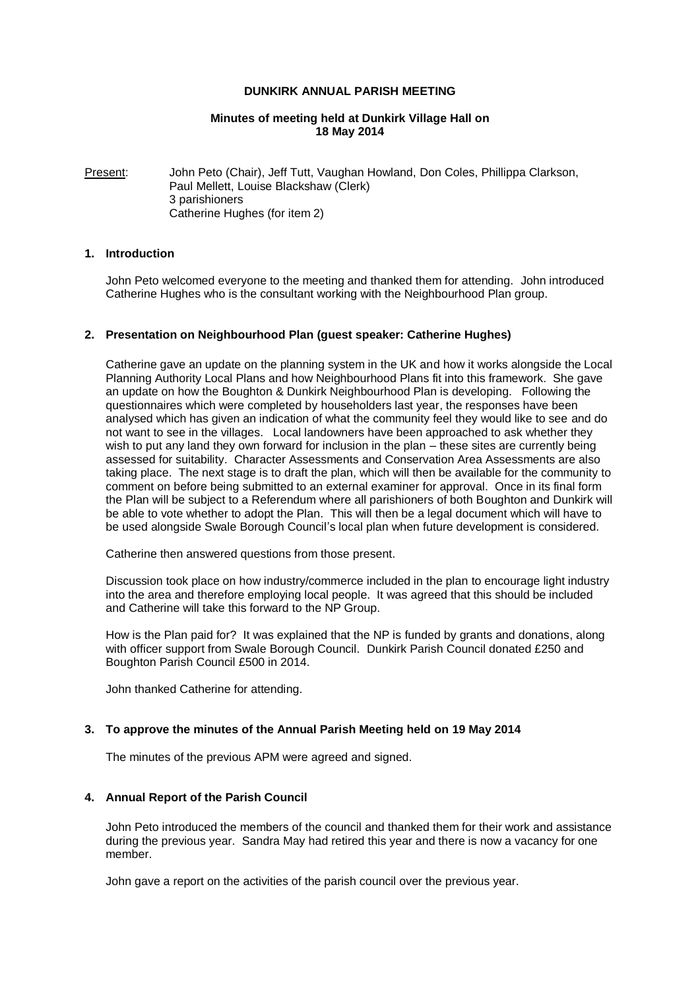### **DUNKIRK ANNUAL PARISH MEETING**

## **Minutes of meeting held at Dunkirk Village Hall on 18 May 2014**

Present: John Peto (Chair), Jeff Tutt, Vaughan Howland, Don Coles, Phillippa Clarkson, Paul Mellett, Louise Blackshaw (Clerk) 3 parishioners Catherine Hughes (for item 2)

## **1. Introduction**

John Peto welcomed everyone to the meeting and thanked them for attending. John introduced Catherine Hughes who is the consultant working with the Neighbourhood Plan group.

## **2. Presentation on Neighbourhood Plan (guest speaker: Catherine Hughes)**

Catherine gave an update on the planning system in the UK and how it works alongside the Local Planning Authority Local Plans and how Neighbourhood Plans fit into this framework. She gave an update on how the Boughton & Dunkirk Neighbourhood Plan is developing. Following the questionnaires which were completed by householders last year, the responses have been analysed which has given an indication of what the community feel they would like to see and do not want to see in the villages. Local landowners have been approached to ask whether they wish to put any land they own forward for inclusion in the plan – these sites are currently being assessed for suitability. Character Assessments and Conservation Area Assessments are also taking place. The next stage is to draft the plan, which will then be available for the community to comment on before being submitted to an external examiner for approval. Once in its final form the Plan will be subject to a Referendum where all parishioners of both Boughton and Dunkirk will be able to vote whether to adopt the Plan. This will then be a legal document which will have to be used alongside Swale Borough Council's local plan when future development is considered.

Catherine then answered questions from those present.

Discussion took place on how industry/commerce included in the plan to encourage light industry into the area and therefore employing local people. It was agreed that this should be included and Catherine will take this forward to the NP Group.

How is the Plan paid for? It was explained that the NP is funded by grants and donations, along with officer support from Swale Borough Council. Dunkirk Parish Council donated £250 and Boughton Parish Council £500 in 2014.

John thanked Catherine for attending.

## **3. To approve the minutes of the Annual Parish Meeting held on 19 May 2014**

The minutes of the previous APM were agreed and signed.

## **4. Annual Report of the Parish Council**

John Peto introduced the members of the council and thanked them for their work and assistance during the previous year. Sandra May had retired this year and there is now a vacancy for one member.

John gave a report on the activities of the parish council over the previous year.